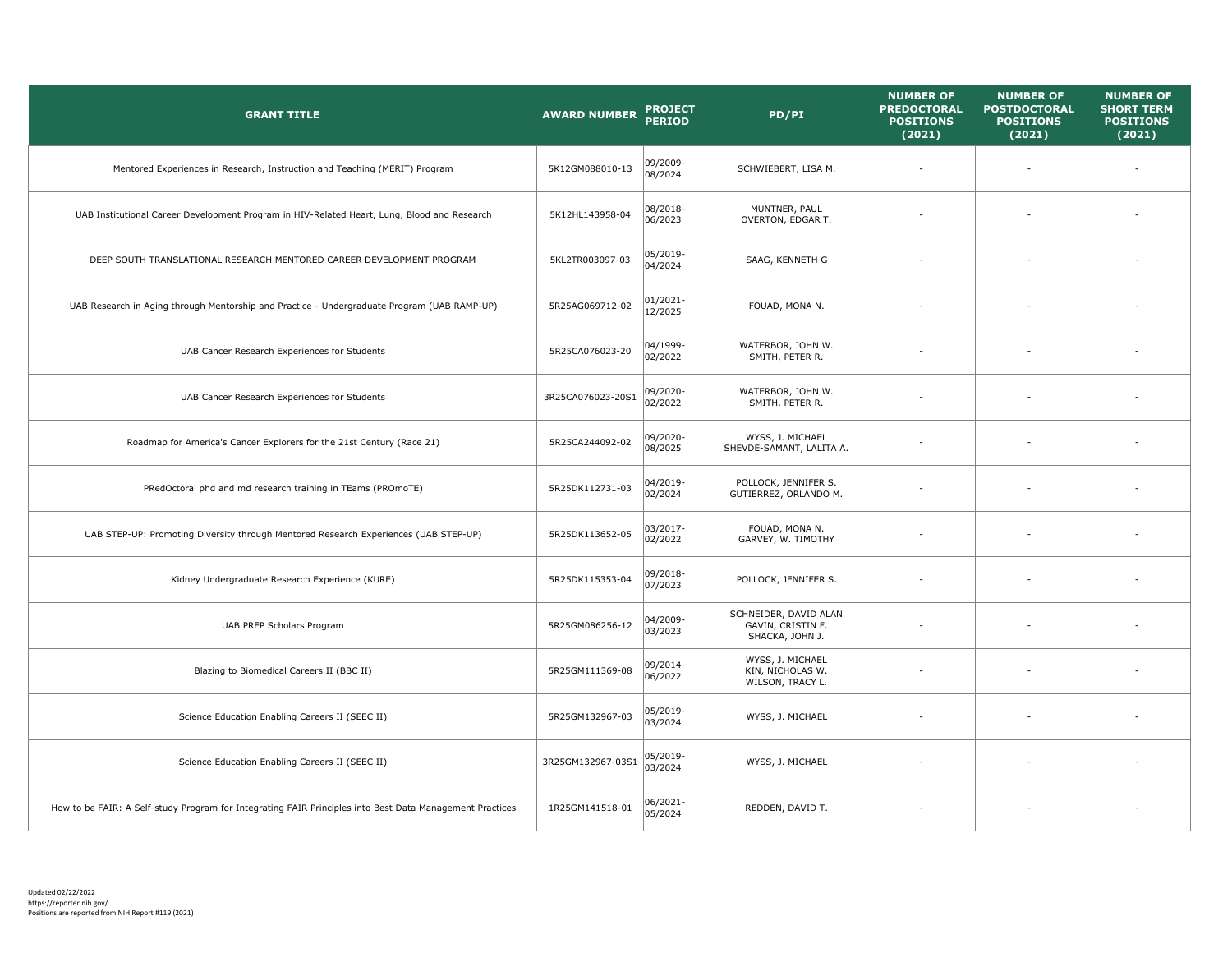| <b>GRANT TITLE</b>                                                                                       | <b>AWARD NUMBER</b> | <b>PROJECT</b><br><b>PERIOD</b> | PD/PI                                                         | <b>NUMBER OF</b><br><b>PREDOCTORAL</b><br><b>POSITIONS</b><br>(2021) | <b>NUMBER OF</b><br><b>POSTDOCTORAL</b><br><b>POSITIONS</b><br>(2021) | <b>NUMBER OF</b><br><b>SHORT TERM</b><br><b>POSITIONS</b><br>(2021) |
|----------------------------------------------------------------------------------------------------------|---------------------|---------------------------------|---------------------------------------------------------------|----------------------------------------------------------------------|-----------------------------------------------------------------------|---------------------------------------------------------------------|
| Mentored Experiences in Research, Instruction and Teaching (MERIT) Program                               | 5K12GM088010-13     | 09/2009-<br>08/2024             | SCHWIEBERT, LISA M.                                           |                                                                      |                                                                       |                                                                     |
| UAB Institutional Career Development Program in HIV-Related Heart, Lung, Blood and Research              | 5K12HL143958-04     | 08/2018-<br>06/2023             | MUNTNER, PAUL<br>OVERTON, EDGAR T.                            |                                                                      |                                                                       |                                                                     |
| DEEP SOUTH TRANSLATIONAL RESEARCH MENTORED CAREER DEVELOPMENT PROGRAM                                    | 5KL2TR003097-03     | 05/2019-<br>04/2024             | SAAG, KENNETH G                                               |                                                                      |                                                                       |                                                                     |
| UAB Research in Aging through Mentorship and Practice - Undergraduate Program (UAB RAMP-UP)              | 5R25AG069712-02     | 01/2021-<br>12/2025             | FOUAD, MONA N.                                                |                                                                      |                                                                       |                                                                     |
| UAB Cancer Research Experiences for Students                                                             | 5R25CA076023-20     | 04/1999-<br>02/2022             | WATERBOR, JOHN W.<br>SMITH, PETER R.                          |                                                                      |                                                                       |                                                                     |
| UAB Cancer Research Experiences for Students                                                             | 3R25CA076023-20S1   | 09/2020-<br>02/2022             | WATERBOR, JOHN W.<br>SMITH, PETER R.                          |                                                                      |                                                                       |                                                                     |
| Roadmap for America's Cancer Explorers for the 21st Century (Race 21)                                    | 5R25CA244092-02     | 09/2020-<br>08/2025             | WYSS, J. MICHAEL<br>SHEVDE-SAMANT, LALITA A.                  |                                                                      |                                                                       |                                                                     |
| PRedOctoral phd and md research training in TEams (PROmoTE)                                              | 5R25DK112731-03     | 04/2019-<br>02/2024             | POLLOCK, JENNIFER S.<br>GUTIERREZ, ORLANDO M.                 |                                                                      |                                                                       |                                                                     |
| UAB STEP-UP: Promoting Diversity through Mentored Research Experiences (UAB STEP-UP)                     | 5R25DK113652-05     | 03/2017-<br>02/2022             | FOUAD, MONA N.<br>GARVEY, W. TIMOTHY                          |                                                                      |                                                                       |                                                                     |
| Kidney Undergraduate Research Experience (KURE)                                                          | 5R25DK115353-04     | 09/2018-<br>07/2023             | POLLOCK, JENNIFER S.                                          |                                                                      |                                                                       |                                                                     |
| UAB PREP Scholars Program                                                                                | 5R25GM086256-12     | 04/2009-<br>03/2023             | SCHNEIDER, DAVID ALAN<br>GAVIN, CRISTIN F.<br>SHACKA, JOHN J. |                                                                      |                                                                       |                                                                     |
| Blazing to Biomedical Careers II (BBC II)                                                                | 5R25GM111369-08     | 09/2014-<br>06/2022             | WYSS, J. MICHAEL<br>KIN, NICHOLAS W.<br>WILSON, TRACY L.      |                                                                      |                                                                       |                                                                     |
| Science Education Enabling Careers II (SEEC II)                                                          | 5R25GM132967-03     | 05/2019-<br>03/2024             | WYSS, J. MICHAEL                                              |                                                                      |                                                                       |                                                                     |
| Science Education Enabling Careers II (SEEC II)                                                          | 3R25GM132967-03S1   | 05/2019-<br>03/2024             | WYSS, J. MICHAEL                                              |                                                                      |                                                                       |                                                                     |
| How to be FAIR: A Self-study Program for Integrating FAIR Principles into Best Data Management Practices | 1R25GM141518-01     | 06/2021-<br>05/2024             | REDDEN, DAVID T.                                              |                                                                      |                                                                       |                                                                     |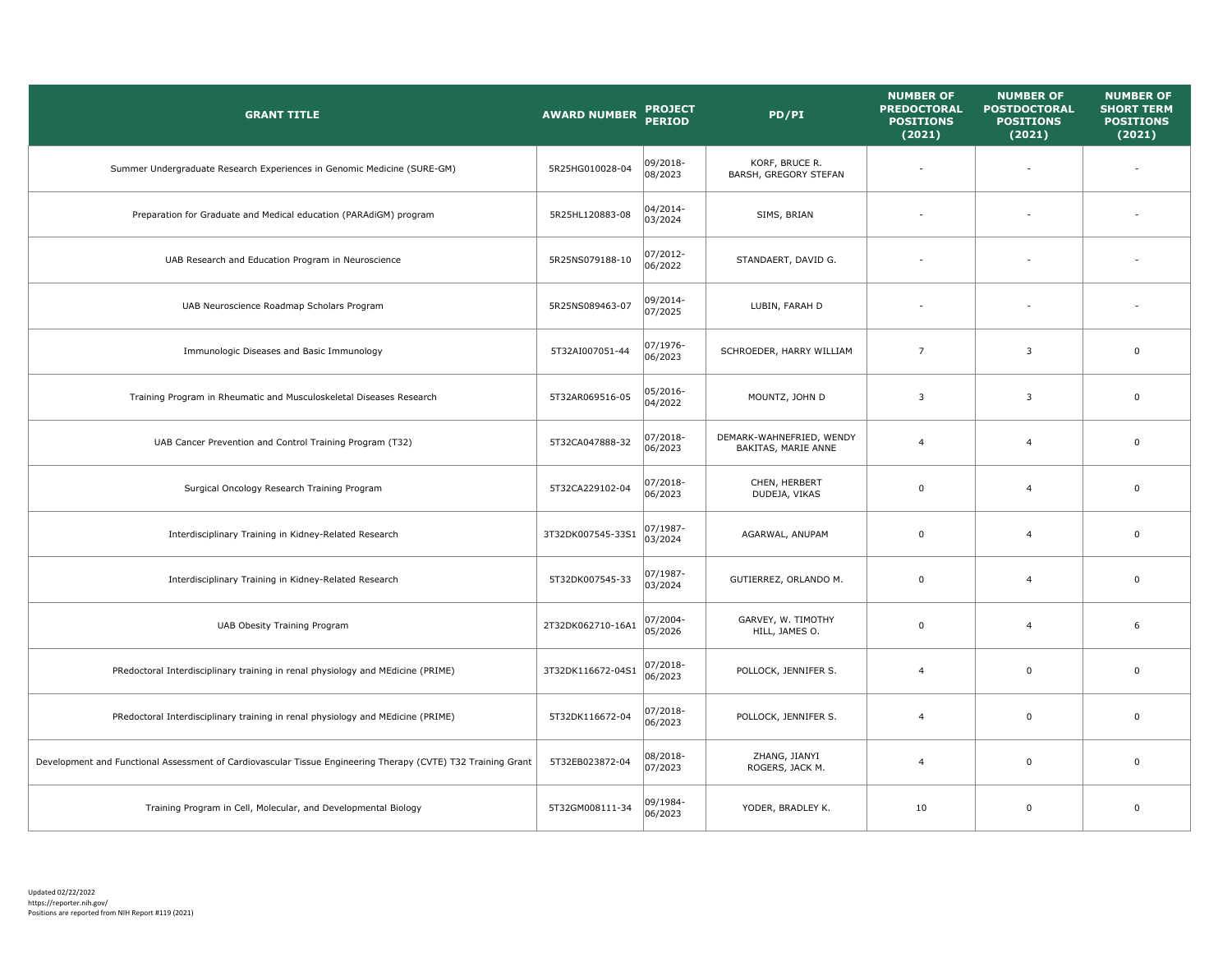| <b>GRANT TITLE</b>                                                                                           | <b>AWARD NUMBER</b> | <b>PROJECT</b><br><b>PERIOD</b> | PD/PI                                           | <b>NUMBER OF</b><br><b>PREDOCTORAL</b><br><b>POSITIONS</b><br>(2021) | <b>NUMBER OF</b><br><b>POSTDOCTORAL</b><br><b>POSITIONS</b><br>(2021) | <b>NUMBER OF</b><br><b>SHORT TERM</b><br><b>POSITIONS</b><br>(2021) |
|--------------------------------------------------------------------------------------------------------------|---------------------|---------------------------------|-------------------------------------------------|----------------------------------------------------------------------|-----------------------------------------------------------------------|---------------------------------------------------------------------|
| Summer Undergraduate Research Experiences in Genomic Medicine (SURE-GM)                                      | 5R25HG010028-04     | 09/2018-<br>08/2023             | KORF, BRUCE R.<br>BARSH, GREGORY STEFAN         |                                                                      | ÷                                                                     |                                                                     |
| Preparation for Graduate and Medical education (PARAdiGM) program                                            | 5R25HL120883-08     | 04/2014-<br>03/2024             | SIMS, BRIAN                                     |                                                                      | $\overline{\phantom{a}}$                                              |                                                                     |
| UAB Research and Education Program in Neuroscience                                                           | 5R25NS079188-10     | 07/2012-<br>06/2022             | STANDAERT, DAVID G.                             |                                                                      | ÷                                                                     |                                                                     |
| UAB Neuroscience Roadmap Scholars Program                                                                    | 5R25NS089463-07     | 09/2014-<br>07/2025             | LUBIN, FARAH D                                  |                                                                      |                                                                       |                                                                     |
| Immunologic Diseases and Basic Immunology                                                                    | 5T32AI007051-44     | 07/1976-<br>06/2023             | SCHROEDER, HARRY WILLIAM                        | $\overline{7}$                                                       | 3                                                                     | $\mathbf 0$                                                         |
| Training Program in Rheumatic and Musculoskeletal Diseases Research                                          | 5T32AR069516-05     | 05/2016-<br>04/2022             | MOUNTZ, JOHN D                                  | $\overline{\mathbf{3}}$                                              | 3                                                                     | $\Omega$                                                            |
| UAB Cancer Prevention and Control Training Program (T32)                                                     | 5T32CA047888-32     | 07/2018-<br>06/2023             | DEMARK-WAHNEFRIED, WENDY<br>BAKITAS, MARIE ANNE | $\overline{4}$                                                       | $\overline{4}$                                                        | $\mathbf 0$                                                         |
| Surgical Oncology Research Training Program                                                                  | 5T32CA229102-04     | 07/2018-<br>06/2023             | CHEN, HERBERT<br>DUDEJA, VIKAS                  | $\mathbf 0$                                                          | $\overline{4}$                                                        | $\mathbf 0$                                                         |
| Interdisciplinary Training in Kidney-Related Research                                                        | 3T32DK007545-33S1   | 07/1987-<br>03/2024             | AGARWAL, ANUPAM                                 | $\mathbf 0$                                                          | $\overline{4}$                                                        | $\mathbf 0$                                                         |
| Interdisciplinary Training in Kidney-Related Research                                                        | 5T32DK007545-33     | 07/1987-<br>03/2024             | GUTIERREZ, ORLANDO M.                           | $\pmb{0}$                                                            | $\overline{4}$                                                        | $\mathbf 0$                                                         |
| UAB Obesity Training Program                                                                                 | 2T32DK062710-16A1   | 07/2004-<br>05/2026             | GARVEY, W. TIMOTHY<br>HILL, JAMES O.            | $\mathbf{0}$                                                         | $\overline{4}$                                                        | 6                                                                   |
| PRedoctoral Interdisciplinary training in renal physiology and MEdicine (PRIME)                              | 3T32DK116672-04S1   | 07/2018-<br>06/2023             | POLLOCK, JENNIFER S.                            | $\overline{4}$                                                       | $\mathbf 0$                                                           | $\mathbf 0$                                                         |
| PRedoctoral Interdisciplinary training in renal physiology and MEdicine (PRIME)                              | 5T32DK116672-04     | 07/2018-<br>06/2023             | POLLOCK, JENNIFER S.                            | $\overline{4}$                                                       | $\mathbf 0$                                                           | $\mathbf 0$                                                         |
| Development and Functional Assessment of Cardiovascular Tissue Engineering Therapy (CVTE) T32 Training Grant | 5T32EB023872-04     | 08/2018-<br>07/2023             | ZHANG, JIANYI<br>ROGERS, JACK M.                | $\overline{4}$                                                       | $\mathbf 0$                                                           | $\mathbf 0$                                                         |
| Training Program in Cell, Molecular, and Developmental Biology                                               | 5T32GM008111-34     | 09/1984-<br>06/2023             | YODER, BRADLEY K.                               | 10                                                                   | $\mathbf 0$                                                           | $\mathbf 0$                                                         |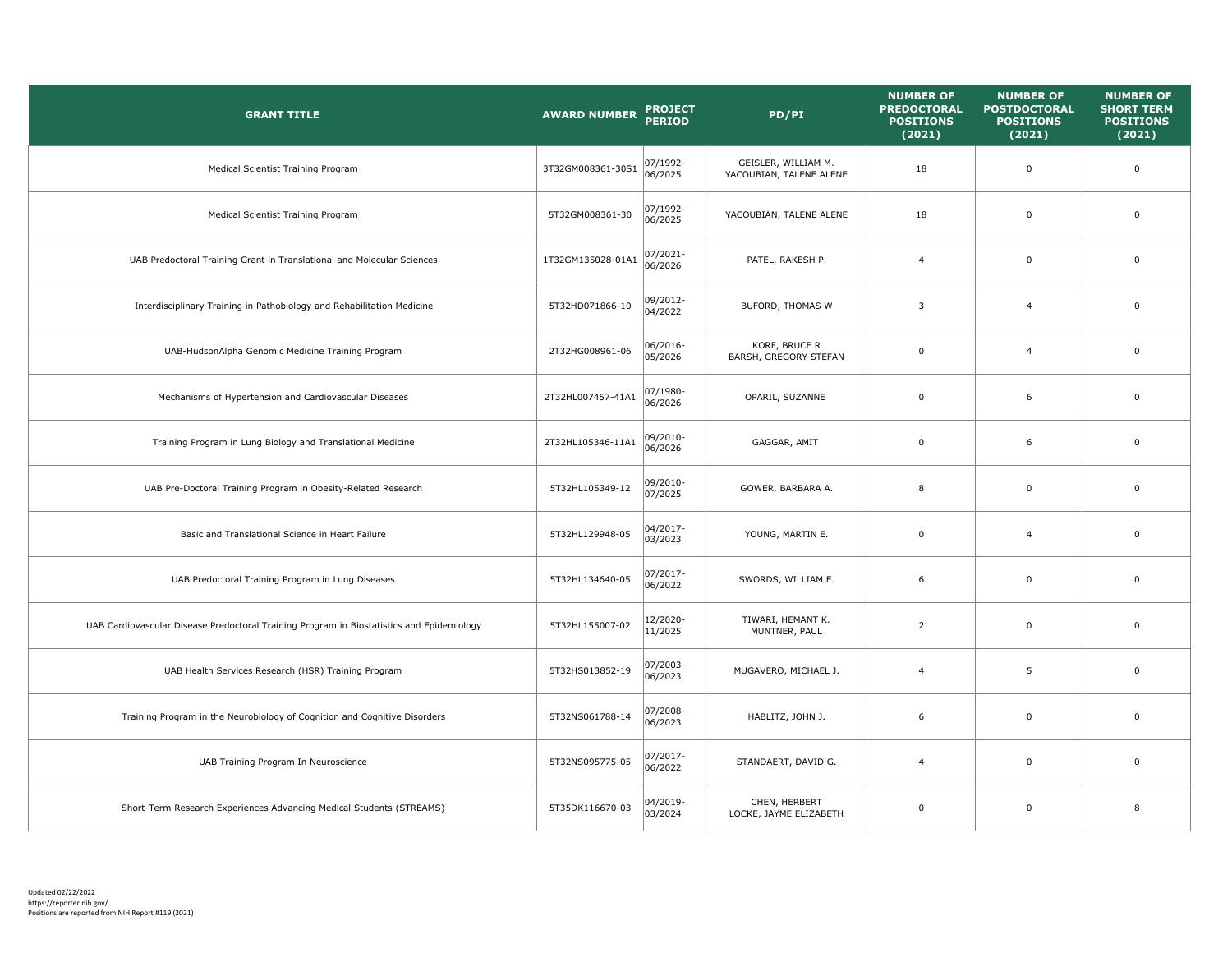| <b>GRANT TITLE</b>                                                                        | <b>AWARD NUMBER</b> | <b>PROJECT</b><br><b>PERIOD</b> | PD/PI                                          | <b>NUMBER OF</b><br><b>PREDOCTORAL</b><br><b>POSITIONS</b><br>(2021) | <b>NUMBER OF</b><br><b>POSTDOCTORAL</b><br><b>POSITIONS</b><br>(2021) | <b>NUMBER OF</b><br><b>SHORT TERM</b><br><b>POSITIONS</b><br>(2021) |
|-------------------------------------------------------------------------------------------|---------------------|---------------------------------|------------------------------------------------|----------------------------------------------------------------------|-----------------------------------------------------------------------|---------------------------------------------------------------------|
| Medical Scientist Training Program                                                        | 3T32GM008361-30S1   | 07/1992-<br>06/2025             | GEISLER, WILLIAM M.<br>YACOUBIAN, TALENE ALENE | 18                                                                   | $\mathsf 0$                                                           | $\mathbf 0$                                                         |
| Medical Scientist Training Program                                                        | 5T32GM008361-30     | 07/1992-<br>06/2025             | YACOUBIAN, TALENE ALENE                        | 18                                                                   | $\mathbf 0$                                                           | $\mathbf 0$                                                         |
| UAB Predoctoral Training Grant in Translational and Molecular Sciences                    | 1T32GM135028-01A1   | 07/2021-<br>06/2026             | PATEL, RAKESH P.                               | $\overline{4}$                                                       | $\overline{0}$                                                        | $\mathbf 0$                                                         |
| Interdisciplinary Training in Pathobiology and Rehabilitation Medicine                    | 5T32HD071866-10     | 09/2012-<br>04/2022             | <b>BUFORD, THOMAS W</b>                        | 3                                                                    | $\overline{4}$                                                        | $\mathsf 0$                                                         |
| UAB-HudsonAlpha Genomic Medicine Training Program                                         | 2T32HG008961-06     | 06/2016-<br>05/2026             | KORF, BRUCE R<br>BARSH, GREGORY STEFAN         | 0                                                                    | $\overline{4}$                                                        | $\mathbf 0$                                                         |
| Mechanisms of Hypertension and Cardiovascular Diseases                                    | 2T32HL007457-41A1   | 07/1980-<br>06/2026             | OPARIL, SUZANNE                                | 0                                                                    | 6                                                                     | $\mathbf 0$                                                         |
| Training Program in Lung Biology and Translational Medicine                               | 2T32HL105346-11A1   | 09/2010-<br>06/2026             | GAGGAR, AMIT                                   | $\mathsf 0$                                                          | 6                                                                     | $\mathsf 0$                                                         |
| UAB Pre-Doctoral Training Program in Obesity-Related Research                             | 5T32HL105349-12     | 09/2010-<br>07/2025             | GOWER, BARBARA A.                              | 8                                                                    | $\mathbf 0$                                                           | $\mathbf 0$                                                         |
| Basic and Translational Science in Heart Failure                                          | 5T32HL129948-05     | 04/2017-<br>03/2023             | YOUNG, MARTIN E.                               | $\mathsf 0$                                                          | $\overline{4}$                                                        | $\mathsf 0$                                                         |
| UAB Predoctoral Training Program in Lung Diseases                                         | 5T32HL134640-05     | 07/2017-<br>06/2022             | SWORDS, WILLIAM E.                             | 6                                                                    | $\mathbf 0$                                                           | $\mathbf 0$                                                         |
| UAB Cardiovascular Disease Predoctoral Training Program in Biostatistics and Epidemiology | 5T32HL155007-02     | 12/2020-<br>11/2025             | TIWARI, HEMANT K.<br>MUNTNER, PAUL             | $\overline{2}$                                                       | $\mathsf 0$                                                           | $\mathsf 0$                                                         |
| UAB Health Services Research (HSR) Training Program                                       | 5T32HS013852-19     | 07/2003-<br>06/2023             | MUGAVERO, MICHAEL J.                           | $\overline{4}$                                                       | 5                                                                     | $\mathbf 0$                                                         |
| Training Program in the Neurobiology of Cognition and Cognitive Disorders                 | 5T32NS061788-14     | 07/2008-<br>06/2023             | HABLITZ, JOHN J.                               | 6                                                                    | $\mathbf 0$                                                           | $\mathsf 0$                                                         |
| UAB Training Program In Neuroscience                                                      | 5T32NS095775-05     | 07/2017-<br>06/2022             | STANDAERT, DAVID G.                            | $\overline{4}$                                                       | $\overline{0}$                                                        | $\mathbf 0$                                                         |
| Short-Term Research Experiences Advancing Medical Students (STREAMS)                      | 5T35DK116670-03     | 04/2019-<br>03/2024             | CHEN, HERBERT<br>LOCKE, JAYME ELIZABETH        | $\mathbf 0$                                                          | $\Omega$                                                              | 8                                                                   |